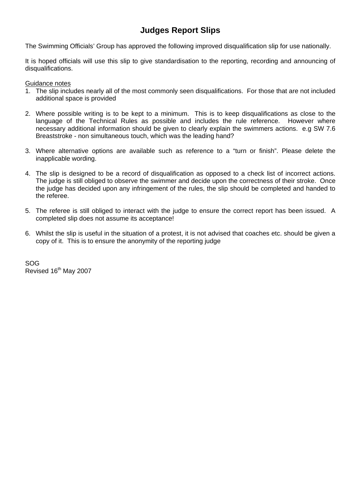## **Judges Report Slips**

The Swimming Officials' Group has approved the following improved disqualification slip for use nationally.

It is hoped officials will use this slip to give standardisation to the reporting, recording and announcing of disqualifications.

Guidance notes

- 1. The slip includes nearly all of the most commonly seen disqualifications. For those that are not included additional space is provided
- 2. Where possible writing is to be kept to a minimum. This is to keep disqualifications as close to the language of the Technical Rules as possible and includes the rule reference. However where necessary additional information should be given to clearly explain the swimmers actions. e.g SW 7.6 Breaststroke - non simultaneous touch, which was the leading hand?
- 3. Where alternative options are available such as reference to a "turn or finish". Please delete the inapplicable wording.
- 4. The slip is designed to be a record of disqualification as opposed to a check list of incorrect actions. The judge is still obliged to observe the swimmer and decide upon the correctness of their stroke. Once the judge has decided upon any infringement of the rules, the slip should be completed and handed to the referee.
- 5. The referee is still obliged to interact with the judge to ensure the correct report has been issued. A completed slip does not assume its acceptance!
- 6. Whilst the slip is useful in the situation of a protest, it is not advised that coaches etc. should be given a copy of it. This is to ensure the anonymity of the reporting judge

SOG Revised 16<sup>th</sup> May 2007